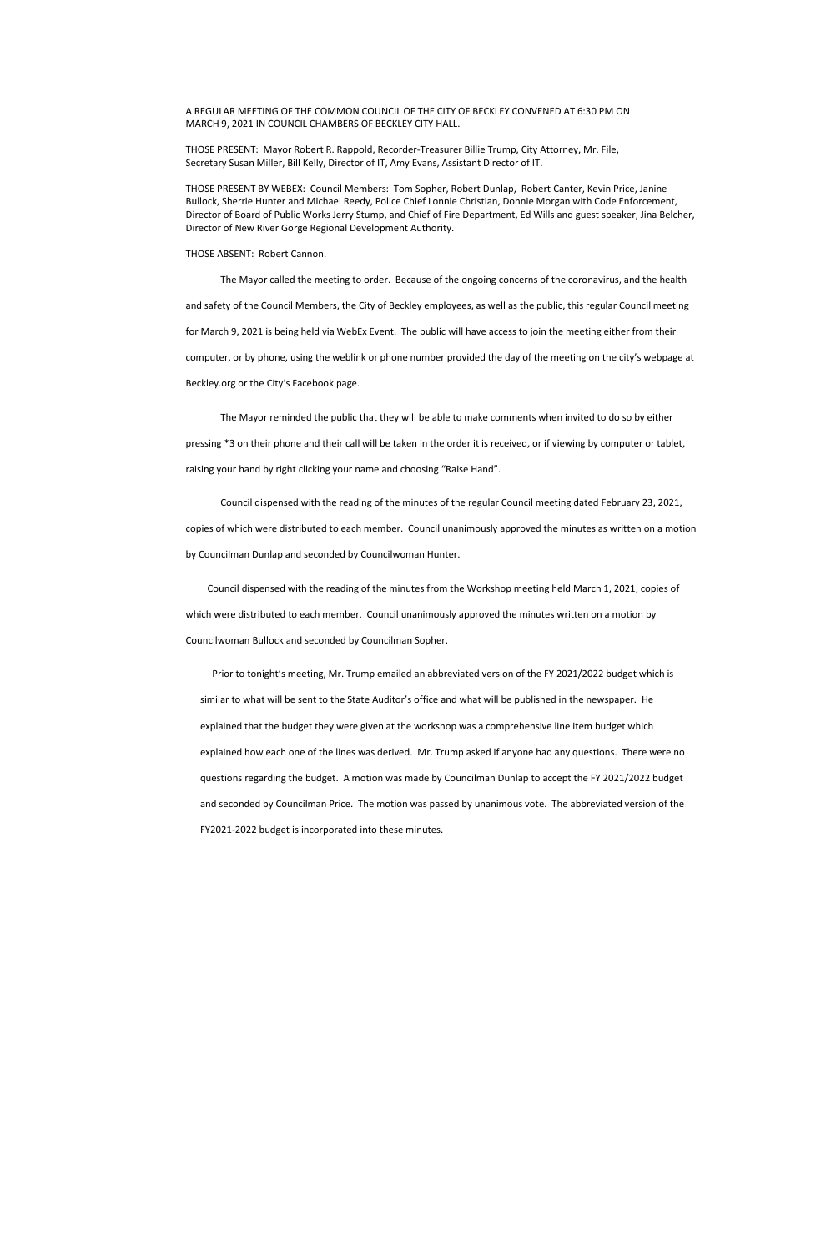A REGULAR MEETING OF THE COMMON COUNCIL OF THE CITY OF BECKLEY CONVENED AT 6:30 PM ON MARCH 9, 2021 IN COUNCIL CHAMBERS OF BECKLEY CITY HALL.

THOSE PRESENT: Mayor Robert R. Rappold, Recorder-Treasurer Billie Trump, City Attorney, Mr. File, Secretary Susan Miller, Bill Kelly, Director of IT, Amy Evans, Assistant Director of IT.

THOSE PRESENT BY WEBEX: Council Members: Tom Sopher, Robert Dunlap, Robert Canter, Kevin Price, Janine Bullock, Sherrie Hunter and Michael Reedy, Police Chief Lonnie Christian, Donnie Morgan with Code Enforcement, Director of Board of Public Works Jerry Stump, and Chief of Fire Department, Ed Wills and guest speaker, Jina Belcher, Director of New River Gorge Regional Development Authority.

THOSE ABSENT: Robert Cannon.

The Mayor called the meeting to order. Because of the ongoing concerns of the coronavirus, and the health and safety of the Council Members, the City of Beckley employees, as well as the public, this regular Council meeting for March 9, 2021 is being held via WebEx Event. The public will have access to join the meeting either from their computer, or by phone, using the weblink or phone number provided the day of the meeting on the city's webpage at Beckley.org or the City's Facebook page.

The Mayor reminded the public that they will be able to make comments when invited to do so by either pressing \*3 on their phone and their call will be taken in the order it is received, or if viewing by computer or tablet, raising your hand by right clicking your name and choosing "Raise Hand".

 Council dispensed with the reading of the minutes of the regular Council meeting dated February 23, 2021, copies of which were distributed to each member. Council unanimously approved the minutes as written on a motion by Councilman Dunlap and seconded by Councilwoman Hunter.

 Council dispensed with the reading of the minutes from the Workshop meeting held March 1, 2021, copies of which were distributed to each member. Council unanimously approved the minutes written on a motion by Councilwoman Bullock and seconded by Councilman Sopher.

 Prior to tonight's meeting, Mr. Trump emailed an abbreviated version of the FY 2021/2022 budget which is similar to what will be sent to the State Auditor's office and what will be published in the newspaper. He explained that the budget they were given at the workshop was a comprehensive line item budget which explained how each one of the lines was derived. Mr. Trump asked if anyone had any questions. There were no questions regarding the budget. A motion was made by Councilman Dunlap to accept the FY 2021/2022 budget and seconded by Councilman Price. The motion was passed by unanimous vote. The abbreviated version of the FY2021-2022 budget is incorporated into these minutes.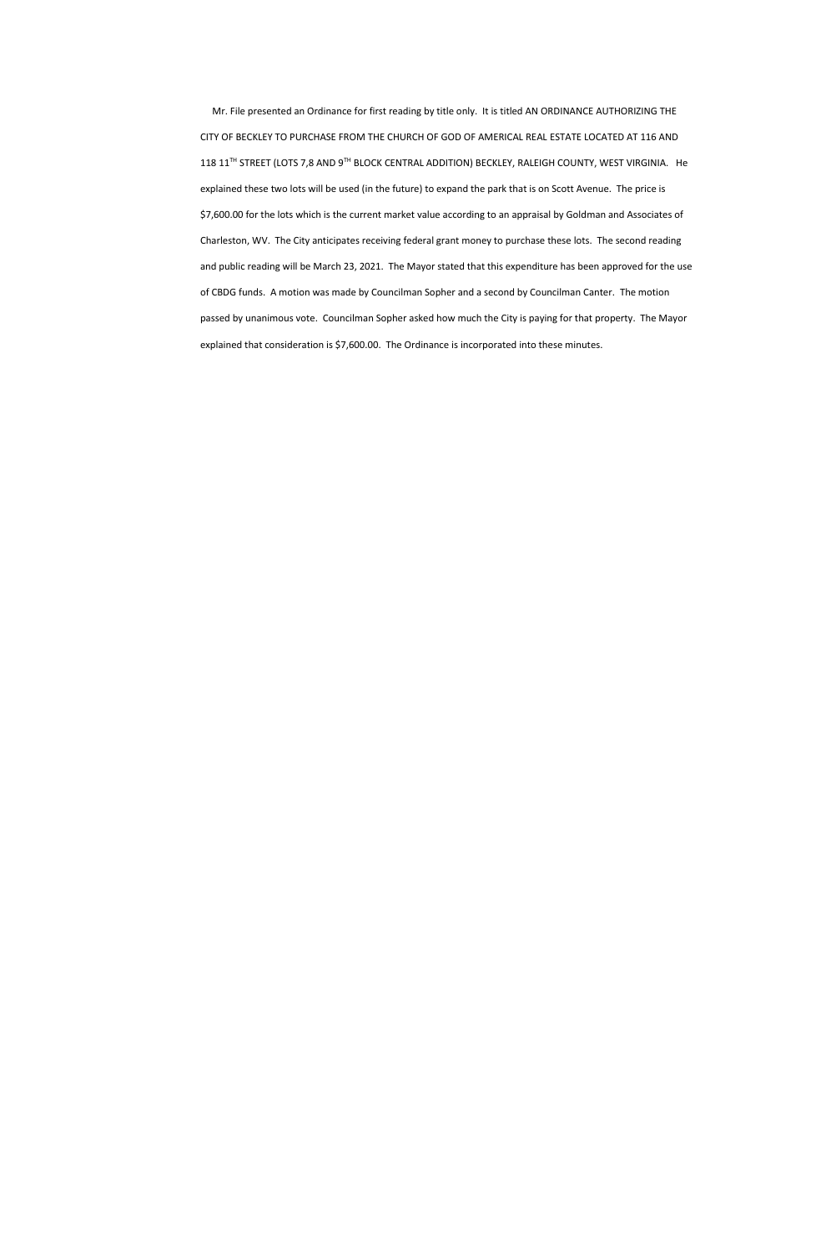Mr. File presented an Ordinance for first reading by title only. It is titled AN ORDINANCE AUTHORIZING THE CITY OF BECKLEY TO PURCHASE FROM THE CHURCH OF GOD OF AMERICAL REAL ESTATE LOCATED AT 116 AND 118 11<sup>TH</sup> STREET (LOTS 7,8 AND 9TH BLOCK CENTRAL ADDITION) BECKLEY, RALEIGH COUNTY, WEST VIRGINIA. He explained these two lots will be used (in the future) to expand the park that is on Scott Avenue. The price is \$7,600.00 for the lots which is the current market value according to an appraisal by Goldman and Associates of Charleston, WV. The City anticipates receiving federal grant money to purchase these lots. The second reading and public reading will be March 23, 2021. The Mayor stated that this expenditure has been approved for the use of CBDG funds. A motion was made by Councilman Sopher and a second by Councilman Canter. The motion passed by unanimous vote. Councilman Sopher asked how much the City is paying for that property. The Mayor explained that consideration is \$7,600.00. The Ordinance is incorporated into these minutes.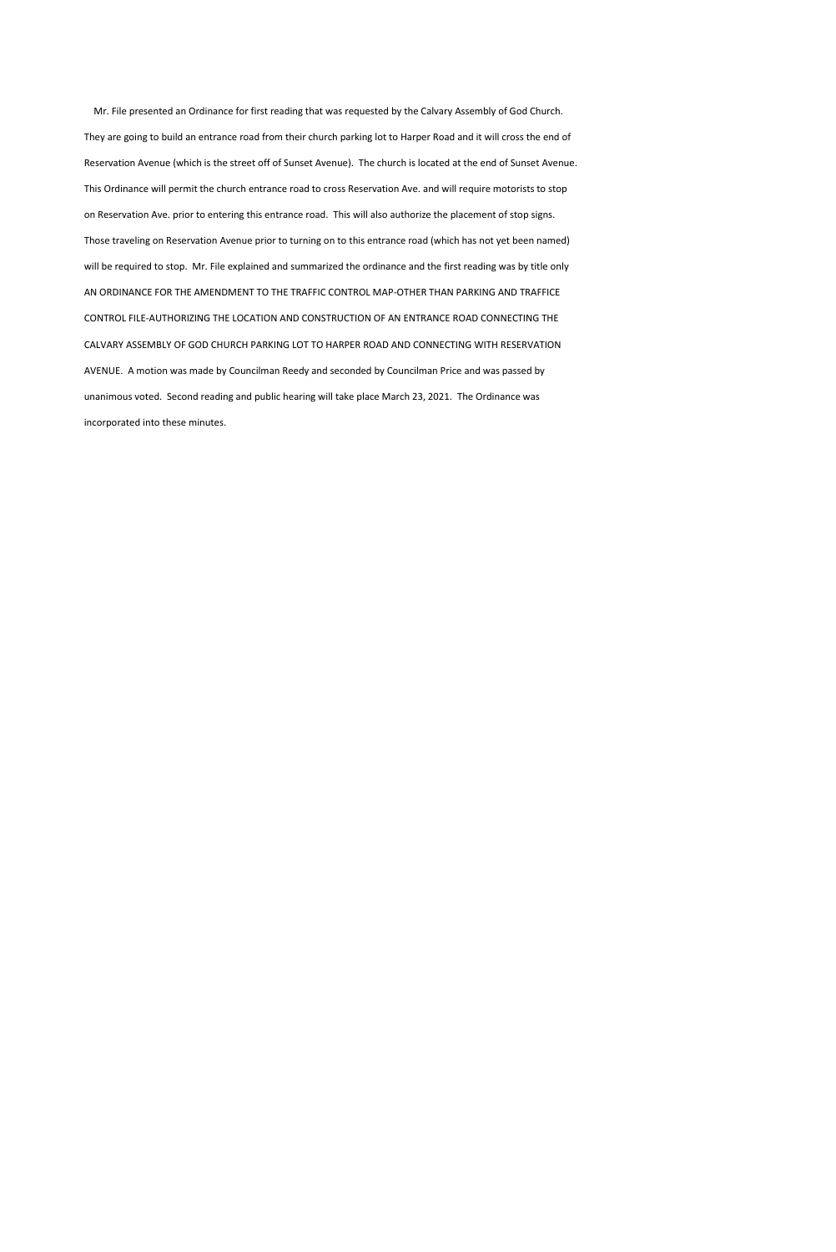Mr. File presented an Ordinance for first reading that was requested by the Calvary Assembly of God Church. They are going to build an entrance road from their church parking lot to Harper Road and it will cross the end of Reservation Avenue (which is the street off of Sunset Avenue). The church is located at the end of Sunset Avenue. This Ordinance will permit the church entrance road to cross Reservation Ave. and will require motorists to stop on Reservation Ave. prior to entering this entrance road. This will also authorize the placement of stop signs. Those traveling on Reservation Avenue prior to turning on to this entrance road (which has not yet been named) will be required to stop. Mr. File explained and summarized the ordinance and the first reading was by title only AN ORDINANCE FOR THE AMENDMENT TO THE TRAFFIC CONTROL MAP-OTHER THAN PARKING AND TRAFFICE CONTROL FILE-AUTHORIZING THE LOCATION AND CONSTRUCTION OF AN ENTRANCE ROAD CONNECTING THE CALVARY ASSEMBLY OF GOD CHURCH PARKING LOT TO HARPER ROAD AND CONNECTING WITH RESERVATION AVENUE. A motion was made by Councilman Reedy and seconded by Councilman Price and was passed by unanimous voted. Second reading and public hearing will take place March 23, 2021. The Ordinance was incorporated into these minutes.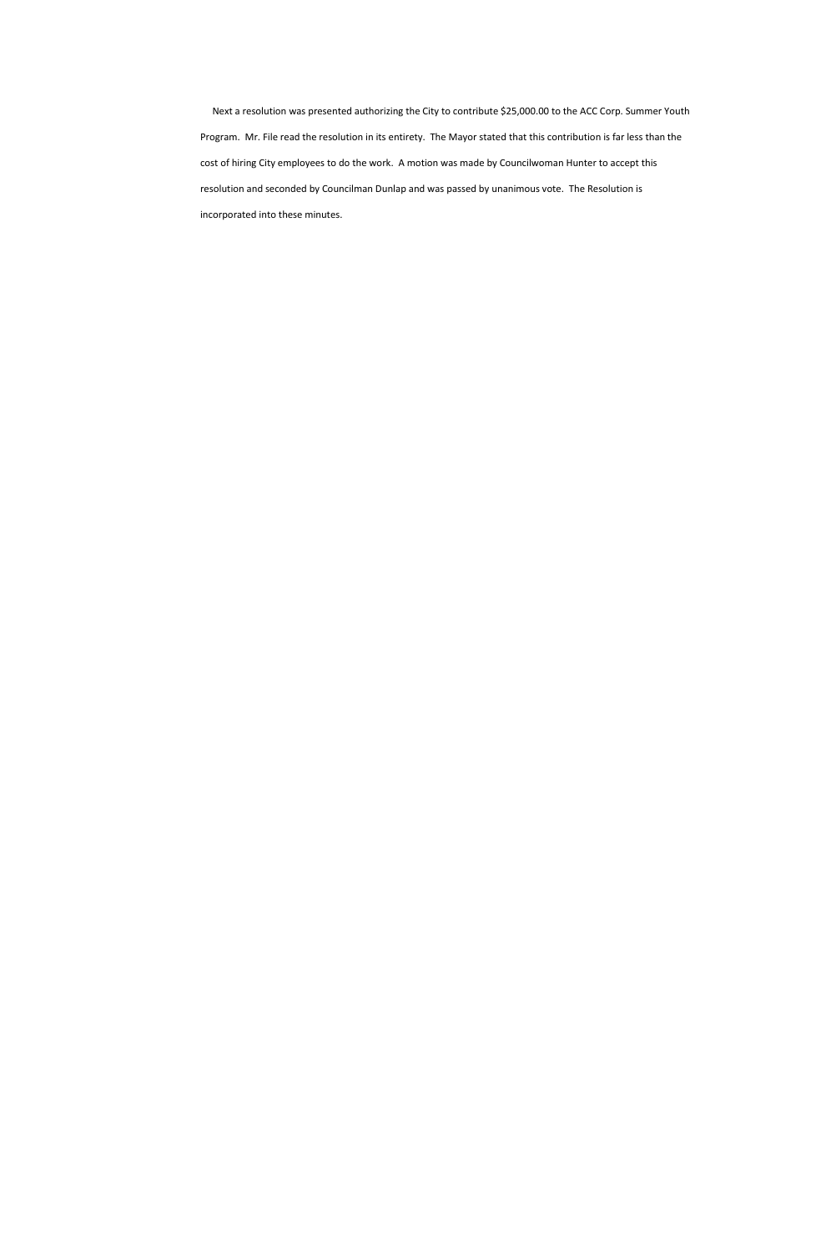Next a resolution was presented authorizing the City to contribute \$25,000.00 to the ACC Corp. Summer Youth Program. Mr. File read the resolution in its entirety. The Mayor stated that this contribution is far less than the cost of hiring City employees to do the work. A motion was made by Councilwoman Hunter to accept this resolution and seconded by Councilman Dunlap and was passed by unanimous vote. The Resolution is incorporated into these minutes.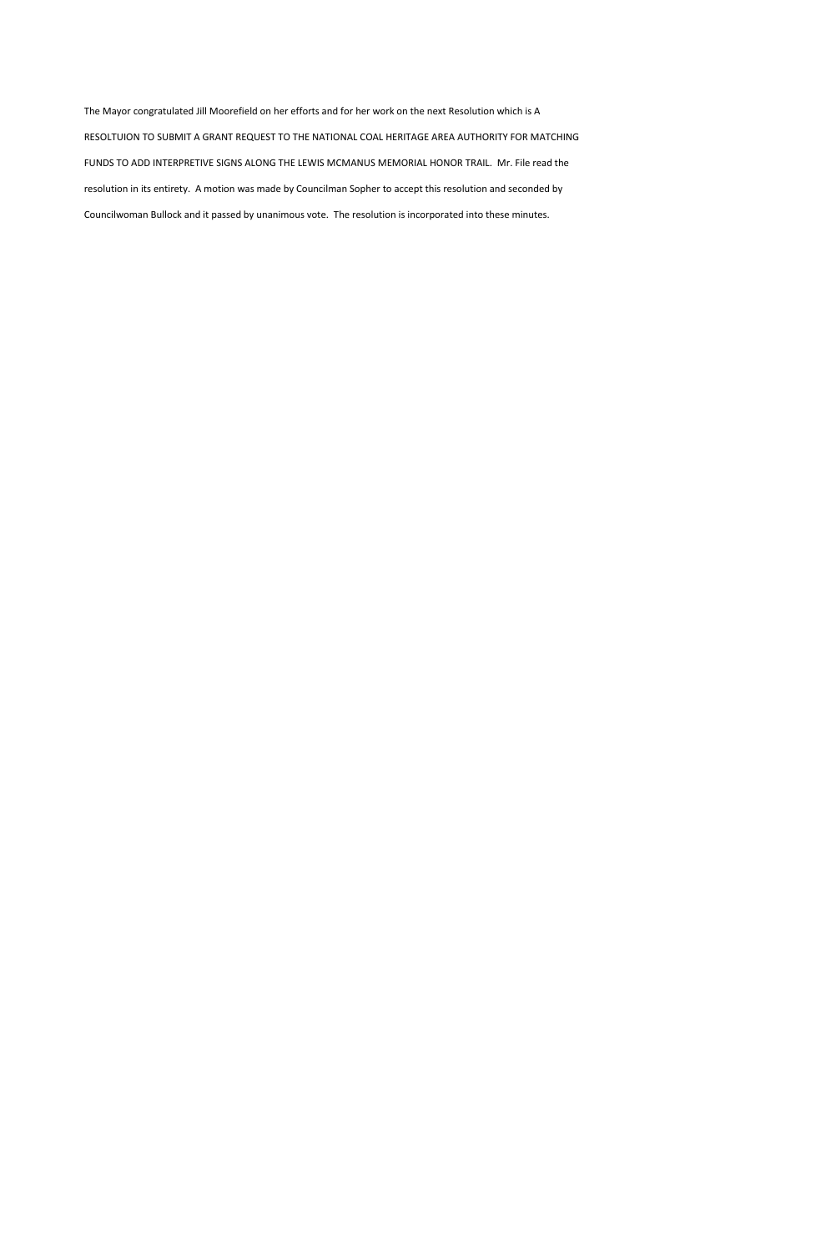The Mayor congratulated Jill Moorefield on her efforts and for her work on the next Resolution which is A RESOLTUION TO SUBMIT A GRANT REQUEST TO THE NATIONAL COAL HERITAGE AREA AUTHORITY FOR MATCHING FUNDS TO ADD INTERPRETIVE SIGNS ALONG THE LEWIS MCMANUS MEMORIAL HONOR TRAIL. Mr. File read the resolution in its entirety. A motion was made by Councilman Sopher to accept this resolution and seconded by Councilwoman Bullock and it passed by unanimous vote. The resolution is incorporated into these minutes.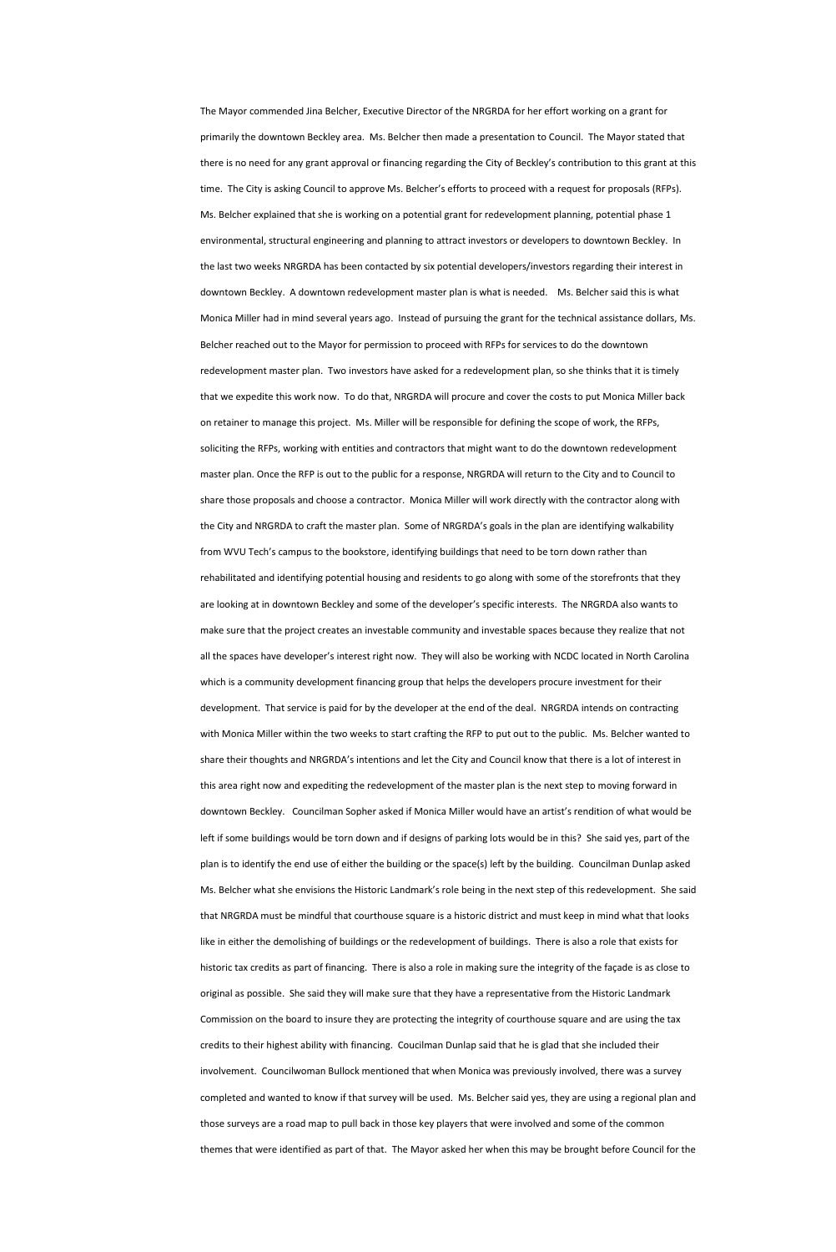The Mayor commended Jina Belcher, Executive Director of the NRGRDA for her effort working on a grant for primarily the downtown Beckley area. Ms. Belcher then made a presentation to Council. The Mayor stated that there is no need for any grant approval or financing regarding the City of Beckley's contribution to this grant at this time. The City is asking Council to approve Ms. Belcher's efforts to proceed with a request for proposals (RFPs). Ms. Belcher explained that she is working on a potential grant for redevelopment planning, potential phase 1 environmental, structural engineering and planning to attract investors or developers to downtown Beckley. In the last two weeks NRGRDA has been contacted by six potential developers/investors regarding their interest in downtown Beckley. A downtown redevelopment master plan is what is needed. Ms. Belcher said this is what Monica Miller had in mind several years ago. Instead of pursuing the grant for the technical assistance dollars, Ms. Belcher reached out to the Mayor for permission to proceed with RFPs for services to do the downtown redevelopment master plan. Two investors have asked for a redevelopment plan, so she thinks that it is timely that we expedite this work now. To do that, NRGRDA will procure and cover the costs to put Monica Miller back on retainer to manage this project. Ms. Miller will be responsible for defining the scope of work, the RFPs, soliciting the RFPs, working with entities and contractors that might want to do the downtown redevelopment master plan. Once the RFP is out to the public for a response, NRGRDA will return to the City and to Council to share those proposals and choose a contractor. Monica Miller will work directly with the contractor along with the City and NRGRDA to craft the master plan. Some of NRGRDA's goals in the plan are identifying walkability from WVU Tech's campus to the bookstore, identifying buildings that need to be torn down rather than rehabilitated and identifying potential housing and residents to go along with some of the storefronts that they are looking at in downtown Beckley and some of the developer's specific interests. The NRGRDA also wants to make sure that the project creates an investable community and investable spaces because they realize that not all the spaces have developer's interest right now. They will also be working with NCDC located in North Carolina which is a community development financing group that helps the developers procure investment for their development. That service is paid for by the developer at the end of the deal. NRGRDA intends on contracting with Monica Miller within the two weeks to start crafting the RFP to put out to the public. Ms. Belcher wanted to share their thoughts and NRGRDA's intentions and let the City and Council know that there is a lot of interest in this area right now and expediting the redevelopment of the master plan is the next step to moving forward in downtown Beckley. Councilman Sopher asked if Monica Miller would have an artist's rendition of what would be left if some buildings would be torn down and if designs of parking lots would be in this? She said yes, part of the plan is to identify the end use of either the building or the space(s) left by the building. Councilman Dunlap asked

Ms. Belcher what she envisions the Historic Landmark's role being in the next step of this redevelopment. She said that NRGRDA must be mindful that courthouse square is a historic district and must keep in mind what that looks like in either the demolishing of buildings or the redevelopment of buildings. There is also a role that exists for historic tax credits as part of financing. There is also a role in making sure the integrity of the façade is as close to original as possible. She said they will make sure that they have a representative from the Historic Landmark Commission on the board to insure they are protecting the integrity of courthouse square and are using the tax credits to their highest ability with financing. Coucilman Dunlap said that he is glad that she included their involvement. Councilwoman Bullock mentioned that when Monica was previously involved, there was a survey completed and wanted to know if that survey will be used. Ms. Belcher said yes, they are using a regional plan and those surveys are a road map to pull back in those key players that were involved and some of the common themes that were identified as part of that. The Mayor asked her when this may be brought before Council for the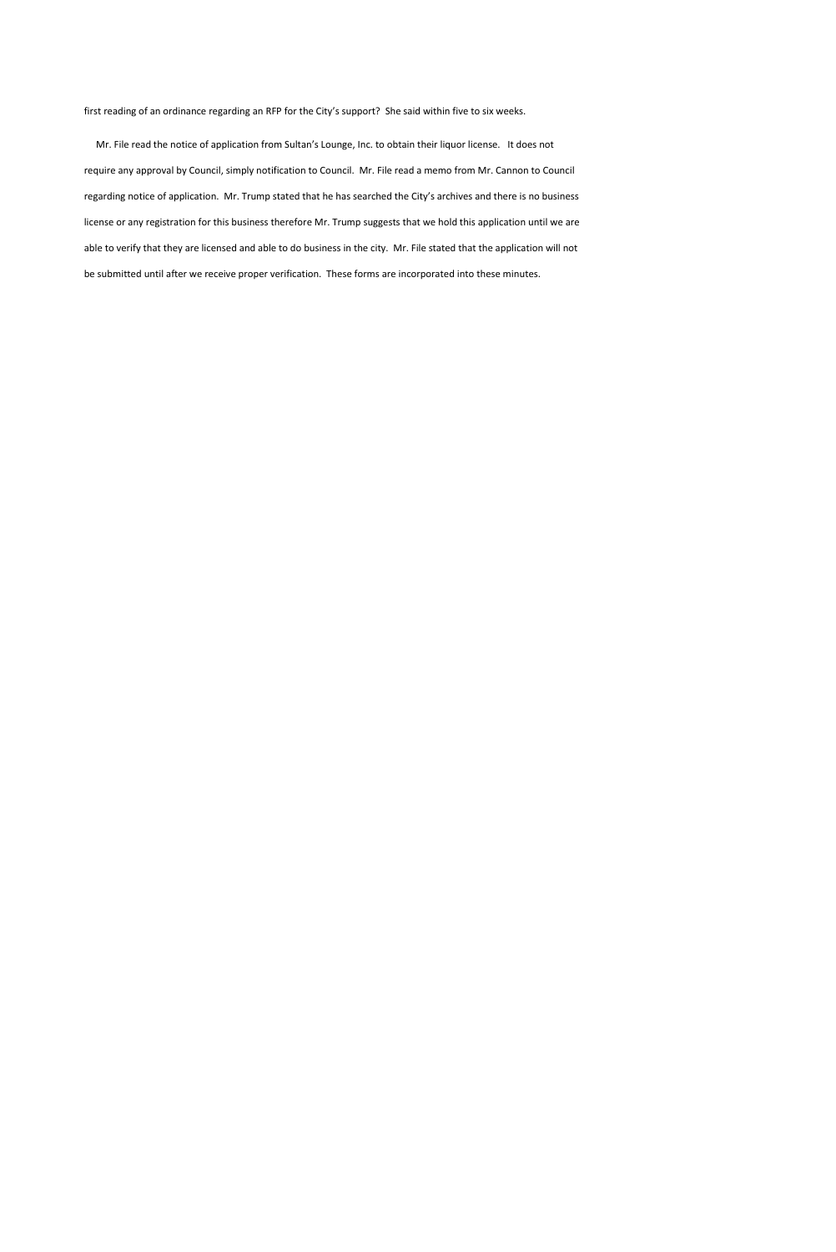first reading of an ordinance regarding an RFP for the City's support? She said within five to six weeks.

 Mr. File read the notice of application from Sultan's Lounge, Inc. to obtain their liquor license. It does not require any approval by Council, simply notification to Council. Mr. File read a memo from Mr. Cannon to Council regarding notice of application. Mr. Trump stated that he has searched the City's archives and there is no business license or any registration for this business therefore Mr. Trump suggests that we hold this application until we are able to verify that they are licensed and able to do business in the city. Mr. File stated that the application will not be submitted until after we receive proper verification. These forms are incorporated into these minutes.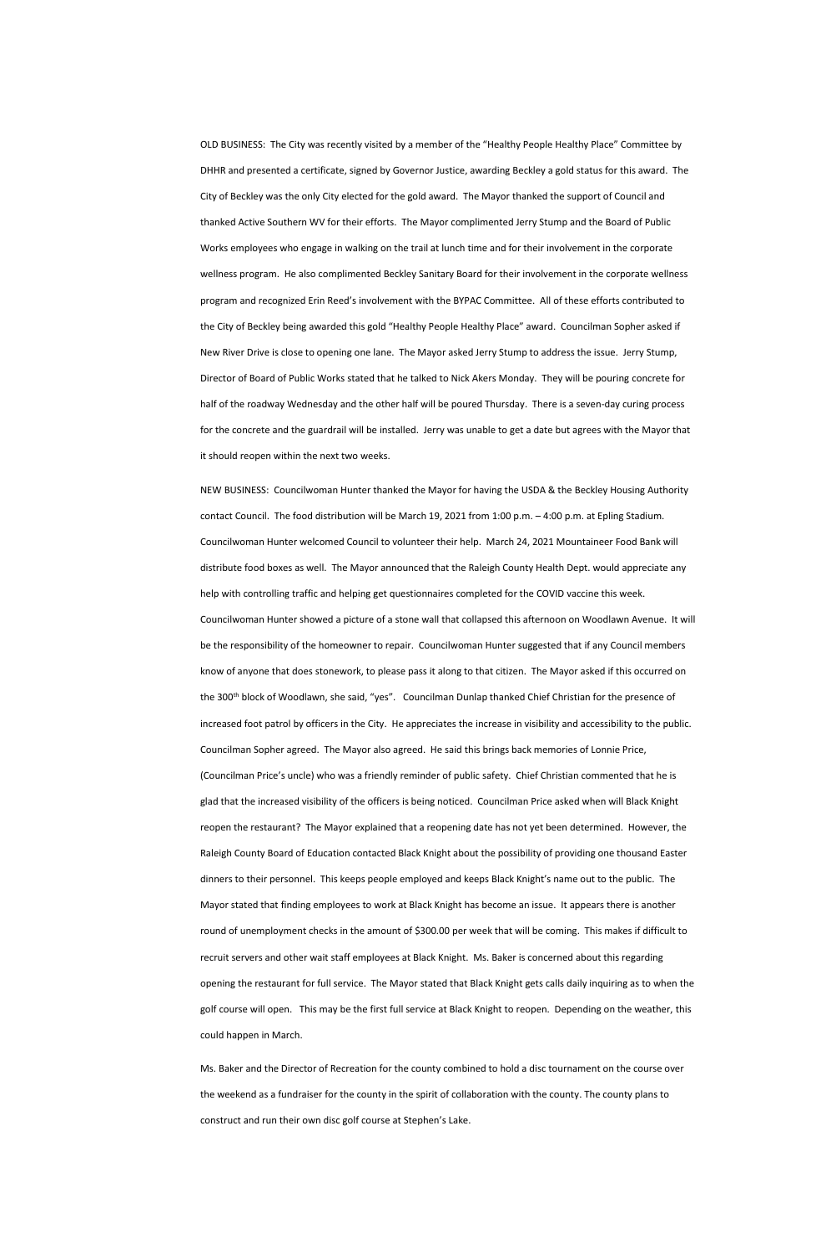OLD BUSINESS: The City was recently visited by a member of the "Healthy People Healthy Place" Committee by DHHR and presented a certificate, signed by Governor Justice, awarding Beckley a gold status for this award. The City of Beckley was the only City elected for the gold award. The Mayor thanked the support of Council and thanked Active Southern WV for their efforts. The Mayor complimented Jerry Stump and the Board of Public Works employees who engage in walking on the trail at lunch time and for their involvement in the corporate wellness program. He also complimented Beckley Sanitary Board for their involvement in the corporate wellness program and recognized Erin Reed's involvement with the BYPAC Committee. All of these efforts contributed to the City of Beckley being awarded this gold "Healthy People Healthy Place" award. Councilman Sopher asked if New River Drive is close to opening one lane. The Mayor asked Jerry Stump to address the issue. Jerry Stump, Director of Board of Public Works stated that he talked to Nick Akers Monday. They will be pouring concrete for half of the roadway Wednesday and the other half will be poured Thursday. There is a seven-day curing process for the concrete and the guardrail will be installed. Jerry was unable to get a date but agrees with the Mayor that it should reopen within the next two weeks.

NEW BUSINESS: Councilwoman Hunter thanked the Mayor for having the USDA & the Beckley Housing Authority contact Council. The food distribution will be March 19, 2021 from 1:00 p.m. – 4:00 p.m. at Epling Stadium. Councilwoman Hunter welcomed Council to volunteer their help. March 24, 2021 Mountaineer Food Bank will distribute food boxes as well. The Mayor announced that the Raleigh County Health Dept. would appreciate any help with controlling traffic and helping get questionnaires completed for the COVID vaccine this week. Councilwoman Hunter showed a picture of a stone wall that collapsed this afternoon on Woodlawn Avenue. It will be the responsibility of the homeowner to repair. Councilwoman Hunter suggested that if any Council members know of anyone that does stonework, to please pass it along to that citizen. The Mayor asked if this occurred on the 300<sup>th</sup> block of Woodlawn, she said, "yes". Councilman Dunlap thanked Chief Christian for the presence of increased foot patrol by officers in the City. He appreciates the increase in visibility and accessibility to the public. Councilman Sopher agreed. The Mayor also agreed. He said this brings back memories of Lonnie Price, (Councilman Price's uncle) who was a friendly reminder of public safety. Chief Christian commented that he is glad that the increased visibility of the officers is being noticed. Councilman Price asked when will Black Knight reopen the restaurant? The Mayor explained that a reopening date has not yet been determined. However, the Raleigh County Board of Education contacted Black Knight about the possibility of providing one thousand Easter

dinners to their personnel. This keeps people employed and keeps Black Knight's name out to the public. The Mayor stated that finding employees to work at Black Knight has become an issue. It appears there is another round of unemployment checks in the amount of \$300.00 per week that will be coming. This makes if difficult to recruit servers and other wait staff employees at Black Knight. Ms. Baker is concerned about this regarding opening the restaurant for full service. The Mayor stated that Black Knight gets calls daily inquiring as to when the golf course will open. This may be the first full service at Black Knight to reopen. Depending on the weather, this could happen in March.

Ms. Baker and the Director of Recreation for the county combined to hold a disc tournament on the course over the weekend as a fundraiser for the county in the spirit of collaboration with the county. The county plans to construct and run their own disc golf course at Stephen's Lake.